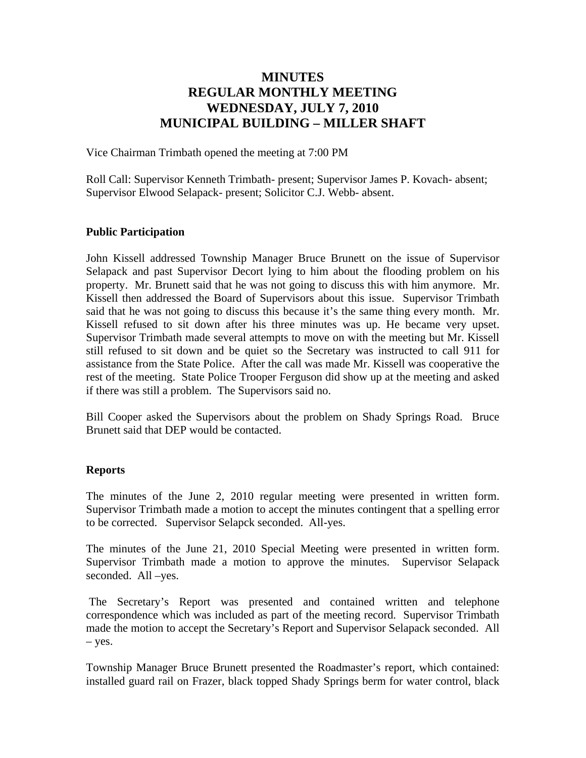# **MINUTES REGULAR MONTHLY MEETING WEDNESDAY, JULY 7, 2010 MUNICIPAL BUILDING – MILLER SHAFT**

Vice Chairman Trimbath opened the meeting at 7:00 PM

Roll Call: Supervisor Kenneth Trimbath- present; Supervisor James P. Kovach- absent; Supervisor Elwood Selapack- present; Solicitor C.J. Webb- absent.

### **Public Participation**

John Kissell addressed Township Manager Bruce Brunett on the issue of Supervisor Selapack and past Supervisor Decort lying to him about the flooding problem on his property. Mr. Brunett said that he was not going to discuss this with him anymore. Mr. Kissell then addressed the Board of Supervisors about this issue. Supervisor Trimbath said that he was not going to discuss this because it's the same thing every month. Mr. Kissell refused to sit down after his three minutes was up. He became very upset. Supervisor Trimbath made several attempts to move on with the meeting but Mr. Kissell still refused to sit down and be quiet so the Secretary was instructed to call 911 for assistance from the State Police. After the call was made Mr. Kissell was cooperative the rest of the meeting. State Police Trooper Ferguson did show up at the meeting and asked if there was still a problem. The Supervisors said no.

Bill Cooper asked the Supervisors about the problem on Shady Springs Road. Bruce Brunett said that DEP would be contacted.

#### **Reports**

The minutes of the June 2, 2010 regular meeting were presented in written form. Supervisor Trimbath made a motion to accept the minutes contingent that a spelling error to be corrected. Supervisor Selapck seconded. All-yes.

The minutes of the June 21, 2010 Special Meeting were presented in written form. Supervisor Trimbath made a motion to approve the minutes. Supervisor Selapack seconded. All –yes.

 The Secretary's Report was presented and contained written and telephone correspondence which was included as part of the meeting record. Supervisor Trimbath made the motion to accept the Secretary's Report and Supervisor Selapack seconded. All – yes.

Township Manager Bruce Brunett presented the Roadmaster's report, which contained: installed guard rail on Frazer, black topped Shady Springs berm for water control, black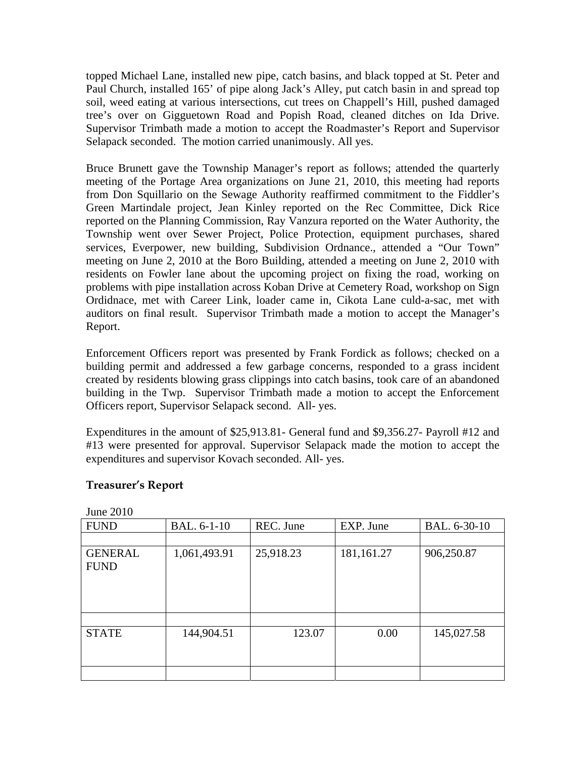topped Michael Lane, installed new pipe, catch basins, and black topped at St. Peter and Paul Church, installed 165' of pipe along Jack's Alley, put catch basin in and spread top soil, weed eating at various intersections, cut trees on Chappell's Hill, pushed damaged tree's over on Gigguetown Road and Popish Road, cleaned ditches on Ida Drive. Supervisor Trimbath made a motion to accept the Roadmaster's Report and Supervisor Selapack seconded. The motion carried unanimously. All yes.

Bruce Brunett gave the Township Manager's report as follows; attended the quarterly meeting of the Portage Area organizations on June 21, 2010, this meeting had reports from Don Squillario on the Sewage Authority reaffirmed commitment to the Fiddler's Green Martindale project, Jean Kinley reported on the Rec Committee, Dick Rice reported on the Planning Commission, Ray Vanzura reported on the Water Authority, the Township went over Sewer Project, Police Protection, equipment purchases, shared services, Everpower, new building, Subdivision Ordnance., attended a "Our Town" meeting on June 2, 2010 at the Boro Building, attended a meeting on June 2, 2010 with residents on Fowler lane about the upcoming project on fixing the road, working on problems with pipe installation across Koban Drive at Cemetery Road, workshop on Sign Ordidnace, met with Career Link, loader came in, Cikota Lane culd-a-sac, met with auditors on final result. Supervisor Trimbath made a motion to accept the Manager's Report.

Enforcement Officers report was presented by Frank Fordick as follows; checked on a building permit and addressed a few garbage concerns, responded to a grass incident created by residents blowing grass clippings into catch basins, took care of an abandoned building in the Twp. Supervisor Trimbath made a motion to accept the Enforcement Officers report, Supervisor Selapack second. All- yes.

Expenditures in the amount of \$25,913.81- General fund and \$9,356.27- Payroll #12 and #13 were presented for approval. Supervisor Selapack made the motion to accept the expenditures and supervisor Kovach seconded. All- yes.

| $J$ unc $\sim$ $\sim$ unc |              |           |            |              |  |  |
|---------------------------|--------------|-----------|------------|--------------|--|--|
| <b>FUND</b>               | BAL. 6-1-10  | REC. June | EXP. June  | BAL. 6-30-10 |  |  |
|                           |              |           |            |              |  |  |
| <b>GENERAL</b>            | 1,061,493.91 | 25,918.23 | 181,161.27 | 906,250.87   |  |  |
| <b>FUND</b>               |              |           |            |              |  |  |
|                           |              |           |            |              |  |  |
|                           |              |           |            |              |  |  |
|                           |              |           |            |              |  |  |
|                           |              |           |            |              |  |  |
| <b>STATE</b>              | 144,904.51   | 123.07    | 0.00       | 145,027.58   |  |  |
|                           |              |           |            |              |  |  |
|                           |              |           |            |              |  |  |
|                           |              |           |            |              |  |  |

**Treasurer's Report**

 $_{\text{Lune}}$  2010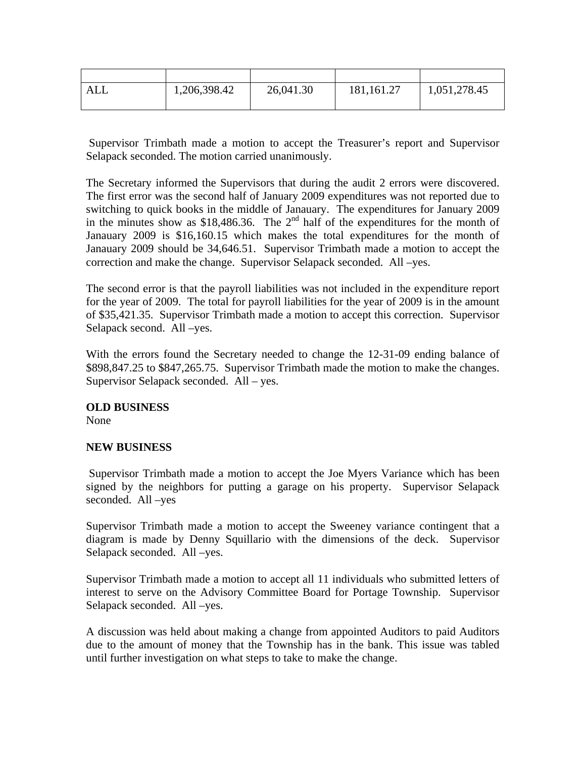| ALL | 1,206,398.42 | 26,041.30 | 181, 161. 27 | 1,051,278.45 |
|-----|--------------|-----------|--------------|--------------|
|     |              |           |              |              |

 Supervisor Trimbath made a motion to accept the Treasurer's report and Supervisor Selapack seconded. The motion carried unanimously.

The Secretary informed the Supervisors that during the audit 2 errors were discovered. The first error was the second half of January 2009 expenditures was not reported due to switching to quick books in the middle of Janauary. The expenditures for January 2009 in the minutes show as \$18,486.36. The  $2<sup>nd</sup>$  half of the expenditures for the month of Janauary 2009 is \$16,160.15 which makes the total expenditures for the month of Janauary 2009 should be 34,646.51. Supervisor Trimbath made a motion to accept the correction and make the change. Supervisor Selapack seconded. All –yes.

The second error is that the payroll liabilities was not included in the expenditure report for the year of 2009. The total for payroll liabilities for the year of 2009 is in the amount of \$35,421.35. Supervisor Trimbath made a motion to accept this correction. Supervisor Selapack second. All –yes.

With the errors found the Secretary needed to change the 12-31-09 ending balance of \$898,847.25 to \$847,265.75. Supervisor Trimbath made the motion to make the changes. Supervisor Selapack seconded. All – yes.

### **OLD BUSINESS**

None

### **NEW BUSINESS**

 Supervisor Trimbath made a motion to accept the Joe Myers Variance which has been signed by the neighbors for putting a garage on his property. Supervisor Selapack seconded. All –yes

Supervisor Trimbath made a motion to accept the Sweeney variance contingent that a diagram is made by Denny Squillario with the dimensions of the deck. Supervisor Selapack seconded. All –yes.

Supervisor Trimbath made a motion to accept all 11 individuals who submitted letters of interest to serve on the Advisory Committee Board for Portage Township. Supervisor Selapack seconded. All –yes.

A discussion was held about making a change from appointed Auditors to paid Auditors due to the amount of money that the Township has in the bank. This issue was tabled until further investigation on what steps to take to make the change.